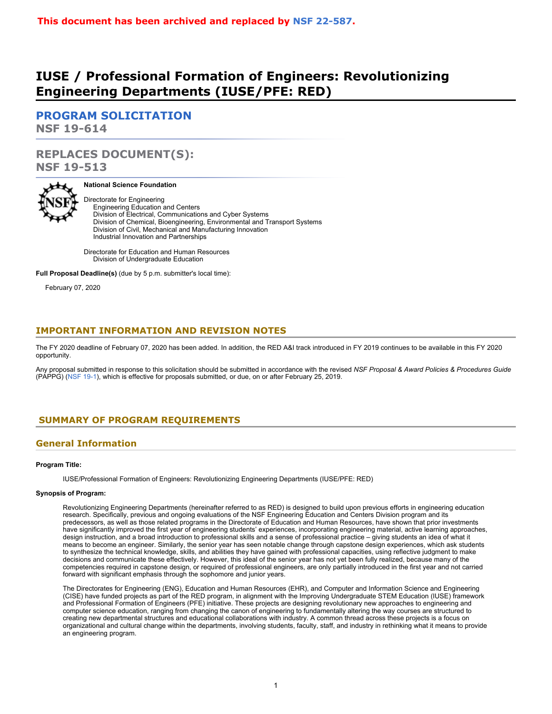# **IUSE / Professional Formation of Engineers: Revolutionizing Engineering Departments (IUSE/PFE: RED)**

**[PROGRAM SOLICITATION](#page-2-0) NSF 19-614**

# **REPLACES DOCUMENT(S): NSF 19-513**



### **National Science Foundation**

Directorate for Engineering Engineering Education and Centers Division of Electrical, Communications and Cyber Systems Division of Chemical, Bioengineering, Environmental and Transport Systems Division of Civil, Mechanical and Manufacturing Innovation Industrial Innovation and Partnerships

Directorate for Education and Human Resources Division of Undergraduate Education

**Full Proposal Deadline(s)** (due by 5 p.m. submitter's local time):

February 07, 2020

### **IMPORTANT INFORMATION AND REVISION NOTES**

The FY 2020 deadline of February 07, 2020 has been added. In addition, the RED A&I track introduced in FY 2019 continues to be available in this FY 2020 opportunity.

Any proposal submitted in response to this solicitation should be submitted in accordance with the revised *NSF Proposal & Award Policies & Procedures Guide* (PAPPG) [\(NSF 19-1](https://www.nsf.gov/publications/pub_summ.jsp?ods_key=nsf19001)), which is effective for proposals submitted, or due, on or after February 25, 2019.

# <span id="page-0-0"></span>**SUMMARY OF PROGRAM REQUIREMENTS**

# **General Information**

### **Program Title:**

IUSE/Professional Formation of Engineers: Revolutionizing Engineering Departments (IUSE/PFE: RED)

### **Synopsis of Program:**

Revolutionizing Engineering Departments (hereinafter referred to as RED) is designed to build upon previous efforts in engineering education research. Specifically, previous and ongoing evaluations of the NSF Engineering Education and Centers Division program and its predecessors, as well as those related programs in the Directorate of Education and Human Resources, have shown that prior investments have significantly improved the first year of engineering students' experiences, incorporating engineering material, active learning approaches, design instruction, and a broad introduction to professional skills and a sense of professional practice – giving students an idea of what it means to become an engineer. Similarly, the senior year has seen notable change through capstone design experiences, which ask students to synthesize the technical knowledge, skills, and abilities they have gained with professional capacities, using reflective judgment to make decisions and communicate these effectively. However, this ideal of the senior year has not yet been fully realized, because many of the competencies required in capstone design, or required of professional engineers, are only partially introduced in the first year and not carried forward with significant emphasis through the sophomore and junior years.

The Directorates for Engineering (ENG), Education and Human Resources (EHR), and Computer and Information Science and Engineering (CISE) have funded projects as part of the RED program, in alignment with the Improving Undergraduate STEM Education (IUSE) framework and Professional Formation of Engineers (PFE) initiative. These projects are designing revolutionary new approaches to engineering and computer science education, ranging from changing the canon of engineering to fundamentally altering the way courses are structured to creating new departmental structures and educational collaborations with industry. A common thread across these projects is a focus on organizational and cultural change within the departments, involving students, faculty, staff, and industry in rethinking what it means to provide an engineering program.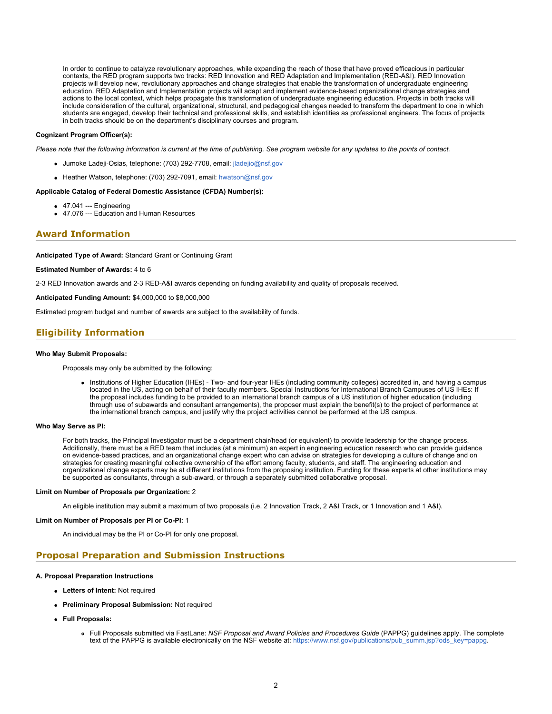In order to continue to catalyze revolutionary approaches, while expanding the reach of those that have proved efficacious in particular contexts, the RED program supports two tracks: RED Innovation and RED Adaptation and Implementation (RED-A&I). RED Innovation projects will develop new, revolutionary approaches and change strategies that enable the transformation of undergraduate engineering education. RED Adaptation and Implementation projects will adapt and implement evidence-based organizational change strategies and actions to the local context, which helps propagate this transformation of undergraduate engineering education. Projects in both tracks will include consideration of the cultural, organizational, structural, and pedagogical changes needed to transform the department to one in which students are engaged, develop their technical and professional skills, and establish identities as professional engineers. The focus of projects in both tracks should be on the department's disciplinary courses and program.

### **Cognizant Program Officer(s):**

*Please note that the following information is current at the time of publishing. See program website for any updates to the points of contact.*

- Jumoke Ladeji-Osias, telephone: (703) 292-7708, email: [jladejio@nsf.gov](mailto:jladejio@nsf.gov)
- Heather Watson, telephone: (703) 292-7091, email: [hwatson@nsf.gov](mailto:hwatson@nsf.gov)

### **Applicable Catalog of Federal Domestic Assistance (CFDA) Number(s):**

- 47.041 --- Engineering
- 47.076 --- Education and Human Resources

### **Award Information**

**Anticipated Type of Award:** Standard Grant or Continuing Grant

**Estimated Number of Awards:** 4 to 6

2-3 RED Innovation awards and 2-3 RED-A&I awards depending on funding availability and quality of proposals received.

**Anticipated Funding Amount:** \$4,000,000 to \$8,000,000

Estimated program budget and number of awards are subject to the availability of funds.

### **Eligibility Information**

#### **Who May Submit Proposals:**

Proposals may only be submitted by the following:

Institutions of Higher Education (IHEs) - Two- and four-year IHEs (including community colleges) accredited in, and having a campus located in the US, acting on behalf of their faculty members. Special Instructions for International Branch Campuses of US IHEs: If the proposal includes funding to be provided to an international branch campus of a US institution of higher education (including through use of subawards and consultant arrangements), the proposer must explain the benefit(s) to the project of performance at the international branch campus, and justify why the project activities cannot be performed at the US campus.

### **Who May Serve as PI:**

For both tracks, the Principal Investigator must be a department chair/head (or equivalent) to provide leadership for the change process. Additionally, there must be a RED team that includes (at a minimum) an expert in engineering education research who can provide guidance on evidence-based practices, and an organizational change expert who can advise on strategies for developing a culture of change and on strategies for creating meaningful collective ownership of the effort among faculty, students, and staff. The engineering education and organizational change experts may be at different institutions from the proposing institution. Funding for these experts at other institutions may be supported as consultants, through a sub-award, or through a separately submitted collaborative proposal.

#### **Limit on Number of Proposals per Organization:** 2

An eligible institution may submit a maximum of two proposals (i.e. 2 Innovation Track, 2 A&I Track, or 1 Innovation and 1 A&I).

#### **Limit on Number of Proposals per PI or Co-PI:** 1

An individual may be the PI or Co-PI for only one proposal.

### **Proposal Preparation and Submission Instructions**

### **A. Proposal Preparation Instructions**

- **Letters of Intent:** Not required
- **Preliminary Proposal Submission:** Not required
- **Full Proposals:**
	- Full Proposals submitted via FastLane: *NSF Proposal and Award Policies and Procedures Guide* (PAPPG) guidelines apply. The complete text of the PAPPG is available electronically on the NSF website at: [https://www.nsf.gov/publications/pub\\_summ.jsp?ods\\_key=pappg](https://www.nsf.gov/publications/pub_summ.jsp?ods_key=pappg).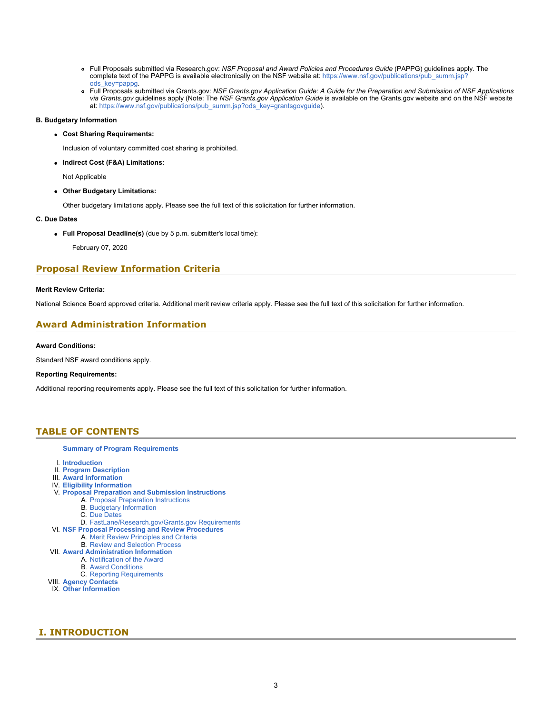- Full Proposals submitted via Research.gov: *NSF Proposal and Award Policies and Procedures Guide* (PAPPG) guidelines apply. The complete text of the PAPPG is available electronically on the NSF website at: [https://www.nsf.gov/publications/pub\\_summ.jsp?](https://www.nsf.gov/publications/pub_summ.jsp?ods_key=pappg) [ods\\_key=pappg.](https://www.nsf.gov/publications/pub_summ.jsp?ods_key=pappg)
- Full Proposals submitted via Grants.gov: *NSF Grants.gov Application Guide: A Guide for the Preparation and Submission of NSF Applications via Grants.gov* guidelines apply (Note: The *NSF Grants.gov Application Guide* is available on the Grants.gov website and on the NSF website at: [https://www.nsf.gov/publications/pub\\_summ.jsp?ods\\_key=grantsgovguide](https://www.nsf.gov/publications/pub_summ.jsp?ods_key=grantsgovguide)).

### **B. Budgetary Information**

**Cost Sharing Requirements:**

Inclusion of voluntary committed cost sharing is prohibited.

**Indirect Cost (F&A) Limitations:**

Not Applicable

**Other Budgetary Limitations:**

Other budgetary limitations apply. Please see the full text of this solicitation for further information.

### **C. Due Dates**

**Full Proposal Deadline(s)** (due by 5 p.m. submitter's local time):

February 07, 2020

### **Proposal Review Information Criteria**

### **Merit Review Criteria:**

National Science Board approved criteria. Additional merit review criteria apply. Please see the full text of this solicitation for further information.

# **Award Administration Information**

### **Award Conditions:**

Standard NSF award conditions apply.

### **Reporting Requirements:**

Additional reporting requirements apply. Please see the full text of this solicitation for further information.

### <span id="page-2-0"></span>**TABLE OF CONTENTS**

#### **[Summary of Program Requirements](#page-0-0)**

- I. **[Introduction](#page-2-1)**
- II. **[Program Description](#page-3-0)**
- III. **[Award Information](#page-4-0)**
- IV. **[Eligibility Information](#page-4-1)**
- V. **[Proposal Preparation and Submission Instructions](#page-5-0)**
	- A. [Proposal Preparation Instructions](#page-5-0)
		- B. [Budgetary Information](#page-7-0)
		- C. [Due Dates](#page-7-1)
	- D. [FastLane/Research.gov/Grants.gov Requirements](#page-7-2)
- VI. **[NSF Proposal Processing and Review Procedures](#page-8-0)**
	- A. [Merit Review Principles and Criteria](#page-8-1)
	- B. [Review and Selection Process](#page-9-0)
- VII. **[Award Administration Information](#page-10-0)**
	- A. [Notification of the Award](#page-10-1)
	- B. [Award Conditions](#page-10-2)
	- C. [Reporting Requirements](#page-10-3)
- VIII. **[Agency Contacts](#page-10-4)**
- IX. **[Other Information](#page-11-0)**

# <span id="page-2-1"></span> **I. INTRODUCTION**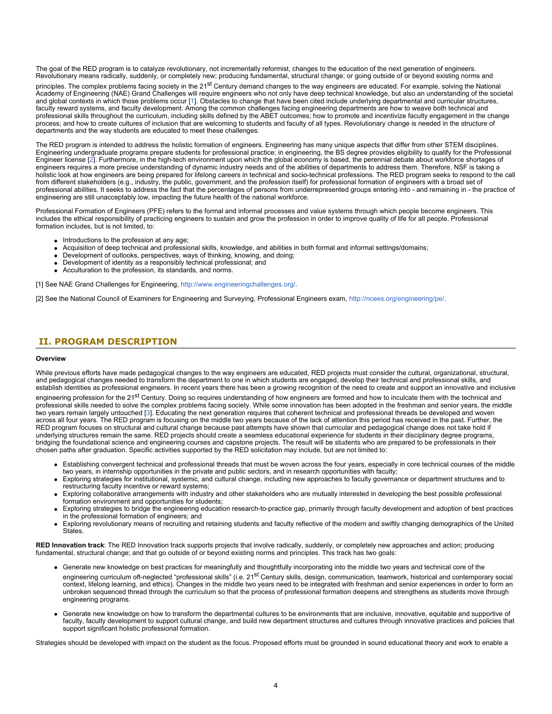The goal of the RED program is to catalyze revolutionary, not incrementally reformist, changes to the education of the next generation of engineers. Revolutionary means radically, suddenly, or completely new; producing fundamental, structural change; or going outside of or beyond existing norms and

principles. The complex problems facing society in the 21<sup>st</sup> Century demand changes to the way engineers are educated. For example, solving the National Academy of Engineering (NAE) Grand Challenges will require engineers who not only have deep technical knowledge, but also an understanding of the societal and global contexts in which those problems occur [[1\]](#page-3-1). Obstacles to change that have been cited include underlying departmental and curricular structures, faculty reward systems, and faculty development. Among the common challenges facing engineering departments are how to weave both technical and professional skills throughout the curriculum, including skills defined by the ABET outcomes; how to promote and incentivize faculty engagement in the change process; and how to create cultures of inclusion that are welcoming to students and faculty of all types. Revolutionary change is needed in the structure of departments and the way students are educated to meet these challenges.

The RED program is intended to address the holistic formation of engineers. Engineering has many unique aspects that differ from other STEM disciplines. Engineering undergraduate programs prepare students for professional practice; in engineering, the BS degree provides eligibility to qualify for the Professional Engineer license [\[2](#page-3-2)]. Furthermore, in the high-tech environment upon which the global economy is based, the perennial debate about workforce shortages of engineers requires a more precise understanding of dynamic industry needs and of the abilities of departments to address them. Therefore, NSF is taking a holistic look at how engineers are being prepared for lifelong careers in technical and socio-technical professions. The RED program seeks to respond to the call from different stakeholders (e.g., industry, the public, government, and the profession itself) for professional formation of engineers with a broad set of professional abilities. It seeks to address the fact that the percentages of persons from underrepresented groups entering into - and remaining in - the practice of engineering are still unacceptably low, impacting the future health of the national workforce.

Professional Formation of Engineers (PFE) refers to the formal and informal processes and value systems through which people become engineers. This includes the ethical responsibility of practicing engineers to sustain and grow the profession in order to improve quality of life for all people. Professional formation includes, but is not limited, to:

- Introductions to the profession at any age;
- Acquisition of deep technical and professional skills, knowledge, and abilities in both formal and informal settings/domains;
- Development of outlooks, perspectives, ways of thinking, knowing, and doing;
- Development of identity as a responsibly technical professional; and
- Acculturation to the profession, its standards, and norms.

<span id="page-3-1"></span>[1] See NAE Grand Challenges for Engineering, [http://www.engineeringchallenges.org/](https://www.nsf.gov/cgi-bin/goodbye?http://www.engineeringchallenges.org/).

<span id="page-3-2"></span>[2] See the National Council of Examiners for Engineering and Surveying, Professional Engineers exam, [http://ncees.org/engineering/pe/](https://www.nsf.gov/cgi-bin/goodbye?http://ncees.org/engineering/pe/).

# <span id="page-3-0"></span>**II. PROGRAM DESCRIPTION**

#### **Overview**

While previous efforts have made pedagogical changes to the way engineers are educated, RED projects must consider the cultural, organizational, structural, and pedagogical changes needed to transform the department to one in which students are engaged, develop their technical and professional skills, and establish identities as professional engineers. In recent years there has been a growing recognition of the need to create and support an innovative and inclusive

engineering profession for the 21<sup>st</sup> Century. Doing so requires understanding of how engineers are formed and how to inculcate them with the technical and professional skills needed to solve the complex problems facing society. While some innovation has been adopted in the freshman and senior years, the middle two years remain largely untouched [\[3](#page-4-2)]. Educating the next generation requires that coherent technical and professional threads be developed and woven across all four years. The RED program is focusing on the middle two years because of the lack of attention this period has received in the past. Further, the RED program focuses on structural and cultural change because past attempts have shown that curricular and pedagogical change does not take hold if underlying structures remain the same. RED projects should create a seamless educational experience for students in their disciplinary degree programs, bridging the foundational science and engineering courses and capstone projects. The result will be students who are prepared to be professionals in their chosen paths after graduation. Specific activities supported by the RED solicitation may include, but are not limited to:

- Establishing convergent technical and professional threads that must be woven across the four years, especially in core technical courses of the middle two years, in internship opportunities in the private and public sectors, and in research opportunities with faculty;
- Exploring strategies for institutional, systemic, and cultural change, including new approaches to faculty governance or department structures and to restructuring faculty incentive or reward systems;
- Exploring collaborative arrangements with industry and other stakeholders who are mutually interested in developing the best possible professional formation environment and opportunities for students;
- Exploring strategies to bridge the engineering education research-to-practice gap, primarily through faculty development and adoption of best practices in the professional formation of engineers; and
- Exploring revolutionary means of recruiting and retaining students and faculty reflective of the modern and swiftly changing demographics of the United **States**

**RED Innovation track**: The RED Innovation track supports projects that involve radically, suddenly, or completely new approaches and action; producing fundamental, structural change; and that go outside of or beyond existing norms and principles. This track has two goals:

- Generate new knowledge on best practices for meaningfully and thoughtfully incorporating into the middle two years and technical core of the
- engineering curriculum oft-neglected "professional skills" (i.e. 21<sup>st</sup> Century skills, design, communication, teamwork, historical and contemporary social context, lifelong learning, and ethics). Changes in the middle two years need to be integrated with freshman and senior experiences in order to form an unbroken sequenced thread through the curriculum so that the process of professional formation deepens and strengthens as students move through engineering programs.
- Generate new knowledge on how to transform the departmental cultures to be environments that are inclusive, innovative, equitable and supportive of faculty, faculty development to support cultural change, and build new department structures and cultures through innovative practices and policies that support significant holistic professional formation.

Strategies should be developed with impact on the student as the focus. Proposed efforts must be grounded in sound educational theory and work to enable a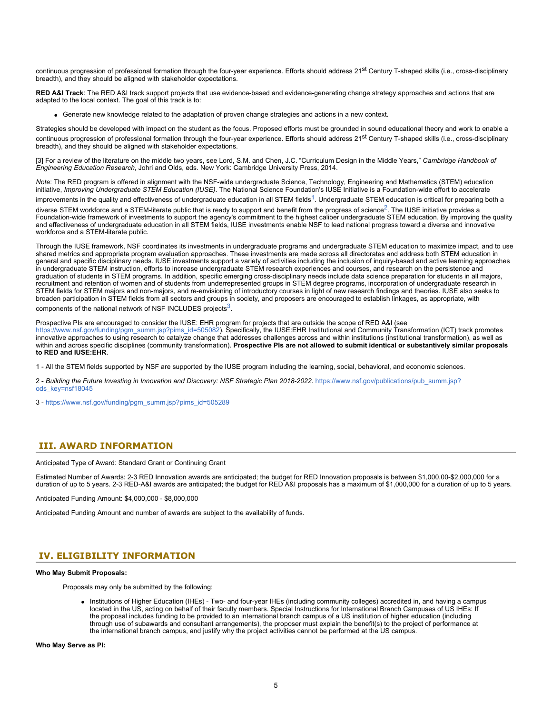continuous progression of professional formation through the four-year experience. Efforts should address 21<sup>st</sup> Century T-shaped skills (i.e., cross-disciplinary breadth), and they should be aligned with stakeholder expectations.

**RED A&I Track**: The RED A&I track support projects that use evidence-based and evidence-generating change strategy approaches and actions that are adapted to the local context. The goal of this track is to:

Generate new knowledge related to the adaptation of proven change strategies and actions in a new context.

Strategies should be developed with impact on the student as the focus. Proposed efforts must be grounded in sound educational theory and work to enable a continuous progression of professional formation through the four-year experience. Efforts should address 21<sup>st</sup> Century T-shaped skills (i.e., cross-disciplinary breadth), and they should be aligned with stakeholder expectations.

<span id="page-4-2"></span>[3] For a review of the literature on the middle two years, see Lord, S.M. and Chen, J.C. "Curriculum Design in the Middle Years," *Cambridge Handbook of Engineering Education Research*, Johri and Olds, eds. New York: Cambridge University Press, 2014.

*Note*: The RED program is offered in alignment with the NSF-wide undergraduate Science, Technology, Engineering and Mathematics (STEM) education initiative, *Improving Undergraduate STEM Education (IUSE)*. The National Science Foundation's IUSE Initiative is a Foundation-wide effort to accelerate improvements in the quality and effectiveness of undergraduate education in all STEM fields<sup>[1](#page-4-3)</sup>. Undergraduate STEM education is critical for preparing both a

diverse STEM workforce and a STEM-literate public that is ready to support and benefit from the progress of science<sup>2</sup>. The IUSE initiative provides a Foundation-wide framework of investments to support the agency's commitment to the highest caliber undergraduate STEM education. By improving the quality and effectiveness of undergraduate education in all STEM fields, IUSE investments enable NSF to lead national progress toward a diverse and innovative workforce and a STEM-literate public.

Through the IUSE framework, NSF coordinates its investments in undergraduate programs and undergraduate STEM education to maximize impact, and to use shared metrics and appropriate program evaluation approaches. These investments are made across all directorates and address both STEM education in general and specific disciplinary needs. IUSE investments support a variety of activities including the inclusion of inquiry-based and active learning approaches in undergraduate STEM instruction, efforts to increase undergraduate STEM research experiences and courses, and research on the persistence and graduation of students in STEM programs. In addition, specific emerging cross-disciplinary needs include data science preparation for students in all majors, recruitment and retention of women and of students from underrepresented groups in STEM degree programs, incorporation of undergraduate research in STEM fields for STEM majors and non-majors, and re-envisioning of introductory courses in light of new research findings and theories. IUSE also seeks to broaden participation in STEM fields from all sectors and groups in society, and proposers are encouraged to establish linkages, as appropriate, with components of the national network of NSF INCLUDES projects $3$ .

Prospective PIs are encouraged to consider the IUSE: EHR program for projects that are outside the scope of RED A&I (see [https://www.nsf.gov/funding/pgm\\_summ.jsp?pims\\_id=505082\)](https://www.nsf.gov/funding/pgm_summ.jsp?pims_id=505082). Specifically, the IUSE:EHR Institutional and Community Transformation (ICT) track promotes innovative approaches to using research to catalyze change that addresses challenges across and within institutions (institutional transformation), as well as within and across specific disciplines (community transformation). **Prospective PIs are not allowed to submit identical or substantively similar proposals to RED and IUSE:EHR**.

<span id="page-4-3"></span>1 - All the STEM fields supported by NSF are supported by the IUSE program including the learning, social, behavioral, and economic sciences.

<span id="page-4-4"></span>2 - Building the Future Investing in Innovation and Discovery: NSF Strategic Plan 2018-2022. [https://www.nsf.gov/publications/pub\\_summ.jsp?](https://www.nsf.gov/publications/pub_summ.jsp?ods_key=nsf18045) [ods\\_key=nsf18045](https://www.nsf.gov/publications/pub_summ.jsp?ods_key=nsf18045)

<span id="page-4-5"></span>3 - [https://www.nsf.gov/funding/pgm\\_summ.jsp?pims\\_id=505289](https://www.nsf.gov/funding/pgm_summ.jsp?pims_id=505289)

### <span id="page-4-0"></span> **III. AWARD INFORMATION**

Anticipated Type of Award: Standard Grant or Continuing Grant

Estimated Number of Awards: 2-3 RED Innovation awards are anticipated; the budget for RED Innovation proposals is between \$1,000,00-\$2,000,000 for a duration of up to 5 years. 2-3 RED-A&I awards are anticipated; the budget for RED A&I proposals has a maximum of \$1,000,000 for a duration of up to 5 years.

Anticipated Funding Amount: \$4,000,000 - \$8,000,000

Anticipated Funding Amount and number of awards are subject to the availability of funds.

### <span id="page-4-1"></span>**IV. ELIGIBILITY INFORMATION**

#### **Who May Submit Proposals:**

Proposals may only be submitted by the following:

• Institutions of Higher Education (IHEs) - Two- and four-year IHEs (including community colleges) accredited in, and having a campus located in the US, acting on behalf of their faculty members. Special Instructions for International Branch Campuses of US IHEs: If the proposal includes funding to be provided to an international branch campus of a US institution of higher education (including through use of subawards and consultant arrangements), the proposer must explain the benefit(s) to the project of performance at the international branch campus, and justify why the project activities cannot be performed at the US campus.

**Who May Serve as PI:**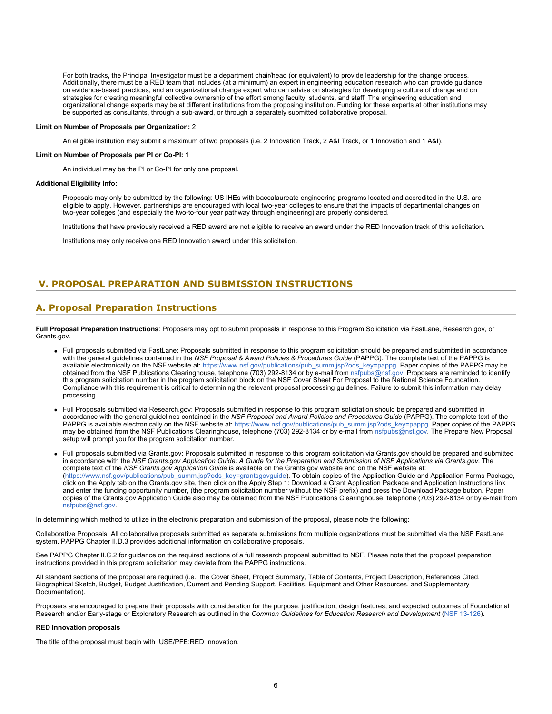For both tracks, the Principal Investigator must be a department chair/head (or equivalent) to provide leadership for the change process. Additionally, there must be a RED team that includes (at a minimum) an expert in engineering education research who can provide guidance on evidence-based practices, and an organizational change expert who can advise on strategies for developing a culture of change and on strategies for creating meaningful collective ownership of the effort among faculty, students, and staff. The engineering education and organizational change experts may be at different institutions from the proposing institution. Funding for these experts at other institutions may be supported as consultants, through a sub-award, or through a separately submitted collaborative proposal.

#### **Limit on Number of Proposals per Organization:** 2

An eligible institution may submit a maximum of two proposals (i.e. 2 Innovation Track, 2 A&I Track, or 1 Innovation and 1 A&I).

#### **Limit on Number of Proposals per PI or Co-PI:** 1

An individual may be the PI or Co-PI for only one proposal.

#### **Additional Eligibility Info:**

Proposals may only be submitted by the following: US IHEs with baccalaureate engineering programs located and accredited in the U.S. are eligible to apply. However, partnerships are encouraged with local two-year colleges to ensure that the impacts of departmental changes on two-year colleges (and especially the two-to-four year pathway through engineering) are properly considered.

Institutions that have previously received a RED award are not eligible to receive an award under the RED Innovation track of this solicitation.

Institutions may only receive one RED Innovation award under this solicitation.

### <span id="page-5-0"></span>**V. PROPOSAL PREPARATION AND SUBMISSION INSTRUCTIONS**

### **A. Proposal Preparation Instructions**

**Full Proposal Preparation Instructions**: Proposers may opt to submit proposals in response to this Program Solicitation via FastLane, Research.gov, or Grants dov.

- Full proposals submitted via FastLane: Proposals submitted in response to this program solicitation should be prepared and submitted in accordance with the general guidelines contained in the *NSF Proposal & Award Policies & Procedures Guide* (PAPPG). The complete text of the PAPPG is available electronically on the NSF website at: [https://www.nsf.gov/publications/pub\\_summ.jsp?ods\\_key=pappg.](https://www.nsf.gov/publications/pub_summ.jsp?ods_key=pappg) Paper copies of the PAPPG may be obtained from the NSF Publications Clearinghouse, telephone (703) 292-8134 or by e-mail from [nsfpubs@nsf.gov](mailto:nsfpubs@nsf.gov). Proposers are reminded to identify this program solicitation number in the program solicitation block on the NSF Cover Sheet For Proposal to the National Science Foundation. Compliance with this requirement is critical to determining the relevant proposal processing guidelines. Failure to submit this information may delay processing.
- Full Proposals submitted via Research.gov: Proposals submitted in response to this program solicitation should be prepared and submitted in accordance with the general guidelines contained in the *NSF Proposal and Award Policies and Procedures Guide* (PAPPG). The complete text of the PAPPG is available electronically on the NSF website at: [https://www.nsf.gov/publications/pub\\_summ.jsp?ods\\_key=pappg](https://www.nsf.gov/publications/pub_summ.jsp?ods_key=pappg). Paper copies of the PAPPG may be obtained from the NSF Publications Clearinghouse, telephone (703) 292-8134 or by e-mail from [nsfpubs@nsf.gov.](mailto:nsfpubs@nsf.gov) The Prepare New Proposal setup will prompt you for the program solicitation number.
- Full proposals submitted via Grants.gov: Proposals submitted in response to this program solicitation via Grants.gov should be prepared and submitted in accordance with the *NSF Grants.gov Application Guide: A Guide for the Preparation and Submission of NSF Applications via Grants.gov*. The complete text of the *NSF Grants.gov Application Guide* is available on the Grants.gov website and on the NSF website at: [\(https://www.nsf.gov/publications/pub\\_summ.jsp?ods\\_key=grantsgovguide\)](https://www.nsf.gov/publications/pub_summ.jsp?ods_key=grantsgovguide). To obtain copies of the Application Guide and Application Forms Package, click on the Apply tab on the Grants.gov site, then click on the Apply Step 1: Download a Grant Application Package and Application Instructions link and enter the funding opportunity number, (the program solicitation number without the NSF prefix) and press the Download Package button. Paper copies of the Grants.gov Application Guide also may be obtained from the NSF Publications Clearinghouse, telephone (703) 292-8134 or by e-mail from [nsfpubs@nsf.gov.](mailto:nsfpubs@nsf.gov)

In determining which method to utilize in the electronic preparation and submission of the proposal, please note the following:

Collaborative Proposals. All collaborative proposals submitted as separate submissions from multiple organizations must be submitted via the NSF FastLane system. PAPPG Chapter II.D.3 provides additional information on collaborative proposals.

See PAPPG Chapter II.C.2 for guidance on the required sections of a full research proposal submitted to NSF. Please note that the proposal preparation instructions provided in this program solicitation may deviate from the PAPPG instructions.

All standard sections of the proposal are required (i.e., the Cover Sheet, Project Summary, Table of Contents, Project Description, References Cited, Biographical Sketch, Budget, Budget Justification, Current and Pending Support, Facilities, Equipment and Other Resources, and Supplementary Documentation).

Proposers are encouraged to prepare their proposals with consideration for the purpose, justification, design features, and expected outcomes of Foundational Research and/or Early-stage or Exploratory Research as outlined in the *Common Guidelines for Education Research and Development* ([NSF 13-126](https://www.nsf.gov/publications/pub_summ.jsp?ods_key=nsf13126)).

### **RED Innovation proposals**

The title of the proposal must begin with IUSE/PFE:RED Innovation.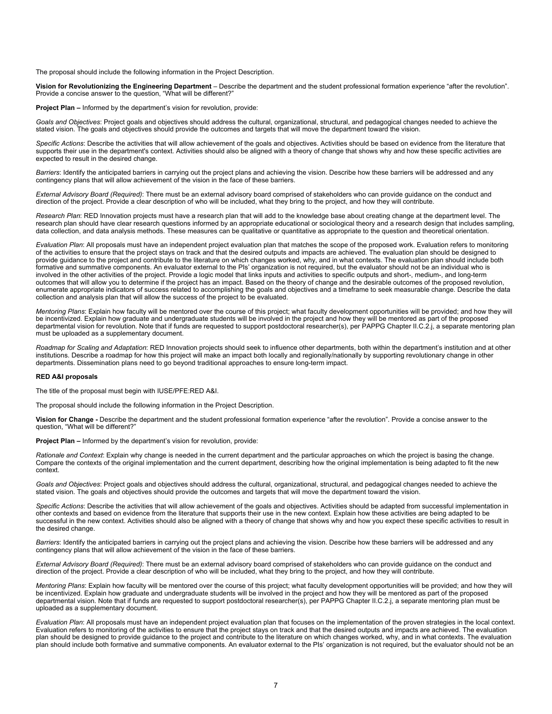The proposal should include the following information in the Project Description.

**Vision for Revolutionizing the Engineering Department** – Describe the department and the student professional formation experience "after the revolution". Provide a concise answer to the question, "What will be different?"

**Project Plan –** Informed by the department's vision for revolution, provide:

*Goals and Objectives*: Project goals and objectives should address the cultural, organizational, structural, and pedagogical changes needed to achieve the stated vision. The goals and objectives should provide the outcomes and targets that will move the department toward the vision.

*Specific Actions*: Describe the activities that will allow achievement of the goals and objectives. Activities should be based on evidence from the literature that supports their use in the department's context. Activities should also be aligned with a theory of change that shows why and how these specific activities are expected to result in the desired change.

*Barriers*: Identify the anticipated barriers in carrying out the project plans and achieving the vision. Describe how these barriers will be addressed and any contingency plans that will allow achievement of the vision in the face of these barriers.

*External Advisory Board (Required)*: There must be an external advisory board comprised of stakeholders who can provide guidance on the conduct and direction of the project. Provide a clear description of who will be included, what they bring to the project, and how they will contribute.

*Research Plan*: RED Innovation projects must have a research plan that will add to the knowledge base about creating change at the department level. The research plan should have clear research questions informed by an appropriate educational or sociological theory and a research design that includes sampling, data collection, and data analysis methods. These measures can be qualitative or quantitative as appropriate to the question and theoretical orientation.

*Evaluation Plan*: All proposals must have an independent project evaluation plan that matches the scope of the proposed work. Evaluation refers to monitoring of the activities to ensure that the project stays on track and that the desired outputs and impacts are achieved. The evaluation plan should be designed to provide guidance to the project and contribute to the literature on which changes worked, why, and in what contexts. The evaluation plan should include both formative and summative components. An evaluator external to the PIs' organization is not required, but the evaluator should not be an individual who is involved in the other activities of the project. Provide a logic model that links inputs and activities to specific outputs and short-, medium-, and long-term outcomes that will allow you to determine if the project has an impact. Based on the theory of change and the desirable outcomes of the proposed revolution, enumerate appropriate indicators of success related to accomplishing the goals and objectives and a timeframe to seek measurable change. Describe the data collection and analysis plan that will allow the success of the project to be evaluated.

*Mentoring Plans*: Explain how faculty will be mentored over the course of this project; what faculty development opportunities will be provided; and how they will be incentivized. Explain how graduate and undergraduate students will be involved in the project and how they will be mentored as part of the proposed departmental vision for revolution. Note that if funds are requested to support postdoctoral researcher(s), per PAPPG Chapter II.C.2.j, a separate mentoring plan must be uploaded as a supplementary document.

*Roadmap for Scaling and Adaptation*: RED Innovation projects should seek to influence other departments, both within the department's institution and at other institutions. Describe a roadmap for how this project will make an impact both locally and regionally/nationally by supporting revolutionary change in other departments. Dissemination plans need to go beyond traditional approaches to ensure long-term impact.

#### **RED A&I proposals**

The title of the proposal must begin with IUSE/PFE:RED A&I.

The proposal should include the following information in the Project Description.

**Vision for Change -** Describe the department and the student professional formation experience "after the revolution". Provide a concise answer to the question, "What will be different?"

**Project Plan –** Informed by the department's vision for revolution, provide:

*Rationale and Context*: Explain why change is needed in the current department and the particular approaches on which the project is basing the change. Compare the contexts of the original implementation and the current department, describing how the original implementation is being adapted to fit the new context.

*Goals and Objectives*: Project goals and objectives should address the cultural, organizational, structural, and pedagogical changes needed to achieve the stated vision. The goals and objectives should provide the outcomes and targets that will move the department toward the vision.

*Specific Actions*: Describe the activities that will allow achievement of the goals and objectives. Activities should be adapted from successful implementation in other contexts and based on evidence from the literature that supports their use in the new context. Explain how these activities are being adapted to be successful in the new context. Activities should also be aligned with a theory of change that shows why and how you expect these specific activities to result in the desired change.

*Barriers*: Identify the anticipated barriers in carrying out the project plans and achieving the vision. Describe how these barriers will be addressed and any contingency plans that will allow achievement of the vision in the face of these barriers.

*External Advisory Board (Required)*: There must be an external advisory board comprised of stakeholders who can provide guidance on the conduct and direction of the project. Provide a clear description of who will be included, what they bring to the project, and how they will contribute.

*Mentoring Plans*: Explain how faculty will be mentored over the course of this project; what faculty development opportunities will be provided; and how they will be incentivized. Explain how graduate and undergraduate students will be involved in the project and how they will be mentored as part of the proposed departmental vision. Note that if funds are requested to support postdoctoral researcher(s), per PAPPG Chapter II.C.2.j, a separate mentoring plan must be uploaded as a supplementary document.

*Evaluation Plan*: All proposals must have an independent project evaluation plan that focuses on the implementation of the proven strategies in the local context. Evaluation refers to monitoring of the activities to ensure that the project stays on track and that the desired outputs and impacts are achieved. The evaluation plan should be designed to provide guidance to the project and contribute to the literature on which changes worked, why, and in what contexts. The evaluation plan should include both formative and summative components. An evaluator external to the PIs' organization is not required, but the evaluator should not be an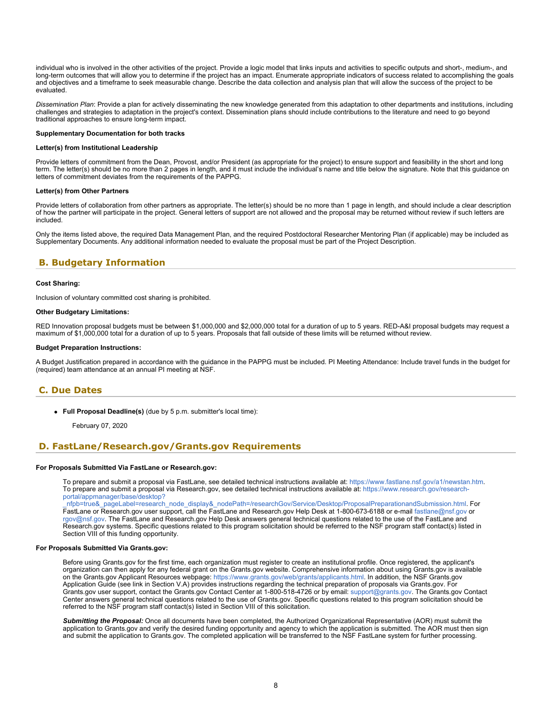<span id="page-7-1"></span>individual who is involved in the other activities of the project. Provide a logic model that links inputs and activities to specific outputs and short-, medium-, and long-term outcomes that will allow you to determine if the project has an impact. Enumerate appropriate indicators of success related to accomplishing the goals and objectives and a timeframe to seek measurable change. Describe the data collection and analysis plan that will allow the success of the project to be evaluated.

*Dissemination Plan*: Provide a plan for actively disseminating the new knowledge generated from this adaptation to other departments and institutions, including challenges and strategies to adaptation in the project's context. Dissemination plans should include contributions to the literature and need to go beyond traditional approaches to ensure long-term impact.

#### **Supplementary Documentation for both tracks**

### **Letter(s) from Institutional Leadership**

Provide letters of commitment from the Dean, Provost, and/or President (as appropriate for the project) to ensure support and feasibility in the short and long term. The letter(s) should be no more than 2 pages in length, and it must include the individual's name and title below the signature. Note that this guidance on letters of commitment deviates from the requirements of the PAPPG.

### **Letter(s) from Other Partners**

Provide letters of collaboration from other partners as appropriate. The letter(s) should be no more than 1 page in length, and should include a clear description of how the partner will participate in the project. General letters of support are not allowed and the proposal may be returned without review if such letters are included.

Only the items listed above, the required Data Management Plan, and the required Postdoctoral Researcher Mentoring Plan (if applicable) may be included as Supplementary Documents. Any additional information needed to evaluate the proposal must be part of the Project Description.

### <span id="page-7-0"></span>**B. Budgetary Information**

#### **Cost Sharing:**

Inclusion of voluntary committed cost sharing is prohibited.

### **Other Budgetary Limitations:**

RED Innovation proposal budgets must be between \$1,000,000 and \$2,000,000 total for a duration of up to 5 years. RED-A&I proposal budgets may request a maximum of \$1,000,000 total for a duration of up to 5 years. Proposals that fall outside of these limits will be returned without review.

### **Budget Preparation Instructions:**

A Budget Justification prepared in accordance with the guidance in the PAPPG must be included. PI Meeting Attendance: Include travel funds in the budget for (required) team attendance at an annual PI meeting at NSF.

### **C. Due Dates**

**Full Proposal Deadline(s)** (due by 5 p.m. submitter's local time):

February 07, 2020

### <span id="page-7-2"></span>**D. FastLane/Research.gov/Grants.gov Requirements**

#### **For Proposals Submitted Via FastLane or Research.gov:**

To prepare and submit a proposal via FastLane, see detailed technical instructions available at: <https://www.fastlane.nsf.gov/a1/newstan.htm>. To prepare and submit a proposal via Research.gov, see detailed technical instructions available at: [https://www.research.gov/research](https://www.research.gov/research-portal/appmanager/base/desktop?_nfpb=true&_pageLabel=research_node_display&_nodePath=/researchGov/Service/Desktop/ProposalPreparationandSubmission.html)[portal/appmanager/base/desktop?](https://www.research.gov/research-portal/appmanager/base/desktop?_nfpb=true&_pageLabel=research_node_display&_nodePath=/researchGov/Service/Desktop/ProposalPreparationandSubmission.html)

[\\_nfpb=true&\\_pageLabel=research\\_node\\_display&\\_nodePath=/researchGov/Service/Desktop/ProposalPreparationandSubmission.html](https://www.research.gov/research-portal/appmanager/base/desktop?_nfpb=true&_pageLabel=research_node_display&_nodePath=/researchGov/Service/Desktop/ProposalPreparationandSubmission.html). For FastLane or Research.gov user support, call the FastLane and Research.gov Help Desk at 1-800-673-6188 or e-mail [fastlane@nsf.gov](mailto:fastlane@nsf.gov) or [rgov@nsf.gov](mailto:rgov@nsf.gov). The FastLane and Research.gov Help Desk answers general technical questions related to the use of the FastLane and Research.gov systems. Specific questions related to this program solicitation should be referred to the NSF program staff contact(s) listed in Section VIII of this funding opportunity.

### **For Proposals Submitted Via Grants.gov:**

Before using Grants.gov for the first time, each organization must register to create an institutional profile. Once registered, the applicant's organization can then apply for any federal grant on the Grants.gov website. Comprehensive information about using Grants.gov is available on the Grants.gov Applicant Resources webpage:<https://www.grants.gov/web/grants/applicants.html>. In addition, the NSF Grants.gov Application Guide (see link in Section V.A) provides instructions regarding the technical preparation of proposals via Grants.gov. For Grants.gov user support, contact the Grants.gov Contact Center at 1-800-518-4726 or by email: [support@grants.gov.](mailto:support@grants.gov) The Grants.gov Contact Center answers general technical questions related to the use of Grants.gov. Specific questions related to this program solicitation should be referred to the NSF program staff contact(s) listed in Section VIII of this solicitation.

*Submitting the Proposal:* Once all documents have been completed, the Authorized Organizational Representative (AOR) must submit the application to Grants.gov and verify the desired funding opportunity and agency to which the application is submitted. The AOR must then sign and submit the application to Grants.gov. The completed application will be transferred to the NSF FastLane system for further processing.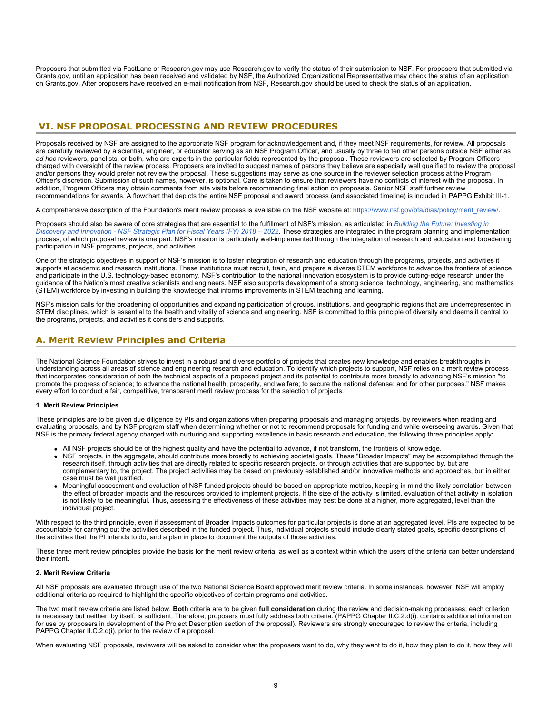Proposers that submitted via FastLane or Research.gov may use Research.gov to verify the status of their submission to NSF. For proposers that submitted via Grants.gov, until an application has been received and validated by NSF, the Authorized Organizational Representative may check the status of an application on Grants.gov. After proposers have received an e-mail notification from NSF, Research.gov should be used to check the status of an application.

### <span id="page-8-0"></span>**VI. NSF PROPOSAL PROCESSING AND REVIEW PROCEDURES**

Proposals received by NSF are assigned to the appropriate NSF program for acknowledgement and, if they meet NSF requirements, for review. All proposals are carefully reviewed by a scientist, engineer, or educator serving as an NSF Program Officer, and usually by three to ten other persons outside NSF either as *ad hoc* reviewers, panelists, or both, who are experts in the particular fields represented by the proposal. These reviewers are selected by Program Officers charged with oversight of the review process. Proposers are invited to suggest names of persons they believe are especially well qualified to review the proposal and/or persons they would prefer not review the proposal. These suggestions may serve as one source in the reviewer selection process at the Program Officer's discretion. Submission of such names, however, is optional. Care is taken to ensure that reviewers have no conflicts of interest with the proposal. In addition, Program Officers may obtain comments from site visits before recommending final action on proposals. Senior NSF staff further review recommendations for awards. A flowchart that depicts the entire NSF proposal and award process (and associated timeline) is included in PAPPG Exhibit III-1.

A comprehensive description of the Foundation's merit review process is available on the NSF website at: [https://www.nsf.gov/bfa/dias/policy/merit\\_review/](https://www.nsf.gov/bfa/dias/policy/merit_review/).

Proposers should also be aware of core strategies that are essential to the fulfillment of NSF's mission, as articulated in *[Building the Future: Investing in](https://www.nsf.gov/publications/pub_summ.jsp?ods_key=nsf18045) [Discovery and Innovation - NSF Strategic Plan for Fiscal Years \(FY\) 2018 – 2022](https://www.nsf.gov/publications/pub_summ.jsp?ods_key=nsf18045)*. These strategies are integrated in the program planning and implementation process, of which proposal review is one part. NSF's mission is particularly well-implemented through the integration of research and education and broadening participation in NSF programs, projects, and activities.

One of the strategic objectives in support of NSF's mission is to foster integration of research and education through the programs, projects, and activities it supports at academic and research institutions. These institutions must recruit, train, and prepare a diverse STEM workforce to advance the frontiers of science and participate in the U.S. technology-based economy. NSF's contribution to the national innovation ecosystem is to provide cutting-edge research under the guidance of the Nation's most creative scientists and engineers. NSF also supports development of a strong science, technology, engineering, and mathematics (STEM) workforce by investing in building the knowledge that informs improvements in STEM teaching and learning.

NSF's mission calls for the broadening of opportunities and expanding participation of groups, institutions, and geographic regions that are underrepresented in STEM disciplines, which is essential to the health and vitality of science and engineering. NSF is committed to this principle of diversity and deems it central to the programs, projects, and activities it considers and supports.

# <span id="page-8-1"></span>**A. Merit Review Principles and Criteria**

The National Science Foundation strives to invest in a robust and diverse portfolio of projects that creates new knowledge and enables breakthroughs in understanding across all areas of science and engineering research and education. To identify which projects to support, NSF relies on a merit review process that incorporates consideration of both the technical aspects of a proposed project and its potential to contribute more broadly to advancing NSF's mission "to promote the progress of science; to advance the national health, prosperity, and welfare; to secure the national defense; and for other purposes." NSF makes every effort to conduct a fair, competitive, transparent merit review process for the selection of projects.

### **1. Merit Review Principles**

These principles are to be given due diligence by PIs and organizations when preparing proposals and managing projects, by reviewers when reading and evaluating proposals, and by NSF program staff when determining whether or not to recommend proposals for funding and while overseeing awards. Given that NSF is the primary federal agency charged with nurturing and supporting excellence in basic research and education, the following three principles apply:

- All NSF projects should be of the highest quality and have the potential to advance, if not transform, the frontiers of knowledge.
- NSF projects, in the aggregate, should contribute more broadly to achieving societal goals. These "Broader Impacts" may be accomplished through the research itself, through activities that are directly related to specific research projects, or through activities that are supported by, but are complementary to, the project. The project activities may be based on previously established and/or innovative methods and approaches, but in either case must be well justified.
- Meaningful assessment and evaluation of NSF funded projects should be based on appropriate metrics, keeping in mind the likely correlation between the effect of broader impacts and the resources provided to implement projects. If the size of the activity is limited, evaluation of that activity in isolation is not likely to be meaningful. Thus, assessing the effectiveness of these activities may best be done at a higher, more aggregated, level than the individual project.

With respect to the third principle, even if assessment of Broader Impacts outcomes for particular projects is done at an aggregated level, PIs are expected to be accountable for carrying out the activities described in the funded project. Thus, individual projects should include clearly stated goals, specific descriptions of the activities that the PI intends to do, and a plan in place to document the outputs of those activities.

These three merit review principles provide the basis for the merit review criteria, as well as a context within which the users of the criteria can better understand their intent.

### **2. Merit Review Criteria**

All NSF proposals are evaluated through use of the two National Science Board approved merit review criteria. In some instances, however, NSF will employ additional criteria as required to highlight the specific objectives of certain programs and activities.

The two merit review criteria are listed below. **Both** criteria are to be given **full consideration** during the review and decision-making processes; each criterion is necessary but neither, by itself, is sufficient. Therefore, proposers must fully address both criteria. (PAPPG Chapter II.C.2.d(i). contains additional information for use by proposers in development of the Project Description section of the proposal). Reviewers are strongly encouraged to review the criteria, including PAPPG Chapter II.C.2.d(i), prior to the review of a proposal.

When evaluating NSF proposals, reviewers will be asked to consider what the proposers want to do, why they want to do it, how they plan to do it, how they will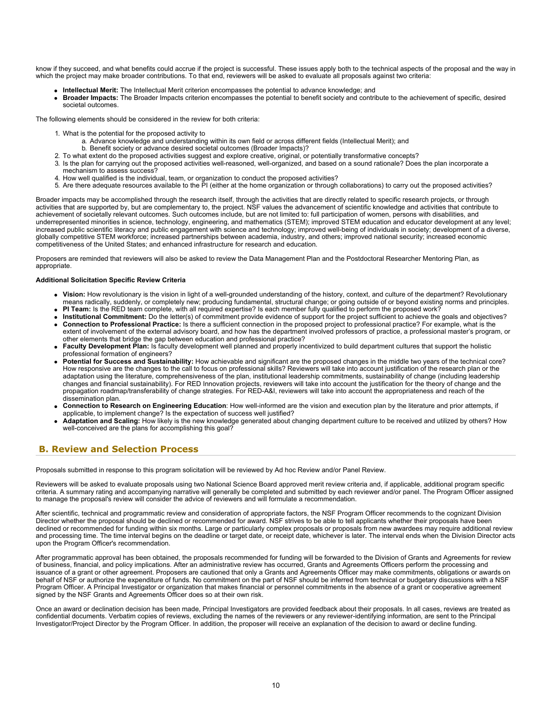know if they succeed, and what benefits could accrue if the project is successful. These issues apply both to the technical aspects of the proposal and the way in which the project may make broader contributions. To that end, reviewers will be asked to evaluate all proposals against two criteria:

- **Intellectual Merit:** The Intellectual Merit criterion encompasses the potential to advance knowledge; and
- **Broader Impacts:** The Broader Impacts criterion encompasses the potential to benefit society and contribute to the achievement of specific, desired societal outcomes.

The following elements should be considered in the review for both criteria:

- 1. What is the potential for the proposed activity to
	- a. Advance knowledge and understanding within its own field or across different fields (Intellectual Merit); and
	- b. Benefit society or advance desired societal outcomes (Broader Impacts)?
- 2. To what extent do the proposed activities suggest and explore creative, original, or potentially transformative concepts?
- 3. Is the plan for carrying out the proposed activities well-reasoned, well-organized, and based on a sound rationale? Does the plan incorporate a mechanism to assess success?
- 4. How well qualified is the individual, team, or organization to conduct the proposed activities?
- 5. Are there adequate resources available to the PI (either at the home organization or through collaborations) to carry out the proposed activities?

Broader impacts may be accomplished through the research itself, through the activities that are directly related to specific research projects, or through activities that are supported by, but are complementary to, the project. NSF values the advancement of scientific knowledge and activities that contribute to achievement of societally relevant outcomes. Such outcomes include, but are not limited to: full participation of women, persons with disabilities, and underrepresented minorities in science, technology, engineering, and mathematics (STEM); improved STEM education and educator development at any level; increased public scientific literacy and public engagement with science and technology; improved well-being of individuals in society; development of a diverse, globally competitive STEM workforce; increased partnerships between academia, industry, and others; improved national security; increased economic competitiveness of the United States; and enhanced infrastructure for research and education.

Proposers are reminded that reviewers will also be asked to review the Data Management Plan and the Postdoctoral Researcher Mentoring Plan, as appropriate.

#### **Additional Solicitation Specific Review Criteria**

- **Vision:** How revolutionary is the vision in light of a well-grounded understanding of the history, context, and culture of the department? Revolutionary means radically, suddenly, or completely new; producing fundamental, structural change; or going outside of or beyond existing norms and principles.
- **PI Team:** Is the RED team complete, with all required expertise? Is each member fully qualified to perform the proposed work?
- **Institutional Commitment:** Do the letter(s) of commitment provide evidence of support for the project sufficient to achieve the goals and objectives? **Connection to Professional Practice:** Is there a sufficient connection in the proposed project to professional practice? For example, what is the extent of involvement of the external advisory board, and how has the department involved professors of practice, a professional master's program, or
- other elements that bridge the gap between education and professional practice? **Faculty Development Plan:** Is faculty development well planned and properly incentivized to build department cultures that support the holistic professional formation of engineers?
- **Potential for Success and Sustainability:** How achievable and significant are the proposed changes in the middle two years of the technical core? How responsive are the changes to the call to focus on professional skills? Reviewers will take into account justification of the research plan or the adaptation using the literature, comprehensiveness of the plan, institutional leadership commitments, sustainability of change (including leadership changes and financial sustainability). For RED Innovation projects, reviewers will take into account the justification for the theory of change and the propagation roadmap/transferability of change strategies. For RED-A&I, reviewers will take into account the appropriateness and reach of the dissemination plan.
- **Connection to Research on Engineering Education**: How well-informed are the vision and execution plan by the literature and prior attempts, if applicable, to implement change? Is the expectation of success well justified?
- **Adaptation and Scaling:** How likely is the new knowledge generated about changing department culture to be received and utilized by others? How well-conceived are the plans for accomplishing this goal?

### <span id="page-9-0"></span> **B. Review and Selection Process**

Proposals submitted in response to this program solicitation will be reviewed by Ad hoc Review and/or Panel Review.

Reviewers will be asked to evaluate proposals using two National Science Board approved merit review criteria and, if applicable, additional program specific criteria. A summary rating and accompanying narrative will generally be completed and submitted by each reviewer and/or panel. The Program Officer assigned to manage the proposal's review will consider the advice of reviewers and will formulate a recommendation.

After scientific, technical and programmatic review and consideration of appropriate factors, the NSF Program Officer recommends to the cognizant Division Director whether the proposal should be declined or recommended for award. NSF strives to be able to tell applicants whether their proposals have been declined or recommended for funding within six months. Large or particularly complex proposals or proposals from new awardees may require additional review and processing time. The time interval begins on the deadline or target date, or receipt date, whichever is later. The interval ends when the Division Director acts upon the Program Officer's recommendation.

After programmatic approval has been obtained, the proposals recommended for funding will be forwarded to the Division of Grants and Agreements for review of business, financial, and policy implications. After an administrative review has occurred, Grants and Agreements Officers perform the processing and issuance of a grant or other agreement. Proposers are cautioned that only a Grants and Agreements Officer may make commitments, obligations or awards on behalf of NSF or authorize the expenditure of funds. No commitment on the part of NSF should be inferred from technical or budgetary discussions with a NSF Program Officer. A Principal Investigator or organization that makes financial or personnel commitments in the absence of a grant or cooperative agreement signed by the NSF Grants and Agreements Officer does so at their own risk.

Once an award or declination decision has been made, Principal Investigators are provided feedback about their proposals. In all cases, reviews are treated as confidential documents. Verbatim copies of reviews, excluding the names of the reviewers or any reviewer-identifying information, are sent to the Principal Investigator/Project Director by the Program Officer. In addition, the proposer will receive an explanation of the decision to award or decline funding.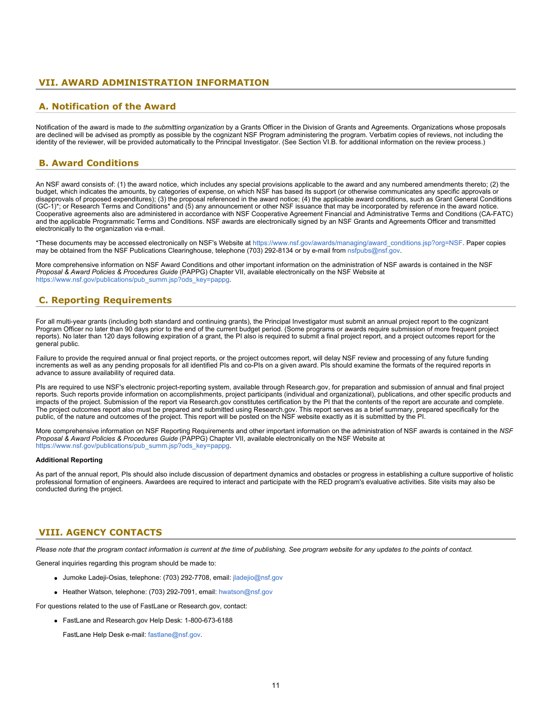# <span id="page-10-0"></span> **VII. AWARD ADMINISTRATION INFORMATION**

### <span id="page-10-1"></span>**A. Notification of the Award**

Notification of the award is made to *the submitting organization* by a Grants Officer in the Division of Grants and Agreements. Organizations whose proposals are declined will be advised as promptly as possible by the cognizant NSF Program administering the program. Verbatim copies of reviews, not including the identity of the reviewer, will be provided automatically to the Principal Investigator. (See Section VI.B. for additional information on the review process.)

### <span id="page-10-2"></span> **B. Award Conditions**

An NSF award consists of: (1) the award notice, which includes any special provisions applicable to the award and any numbered amendments thereto; (2) the budget, which indicates the amounts, by categories of expense, on which NSF has based its support (or otherwise communicates any specific approvals or disapprovals of proposed expenditures); (3) the proposal referenced in the award notice; (4) the applicable award conditions, such as Grant General Conditions (GC-1)\*; or Research Terms and Conditions\* and (5) any announcement or other NSF issuance that may be incorporated by reference in the award notice. Cooperative agreements also are administered in accordance with NSF Cooperative Agreement Financial and Administrative Terms and Conditions (CA-FATC) and the applicable Programmatic Terms and Conditions. NSF awards are electronically signed by an NSF Grants and Agreements Officer and transmitted electronically to the organization via e-mail.

\*These documents may be accessed electronically on NSF's Website at [https://www.nsf.gov/awards/managing/award\\_conditions.jsp?org=NSF](https://www.nsf.gov/awards/managing/award_conditions.jsp?org=NSF). Paper copies may be obtained from the NSF Publications Clearinghouse, telephone (703) 292-8134 or by e-mail from [nsfpubs@nsf.gov.](mailto:nsfpubs@nsf.gov)

More comprehensive information on NSF Award Conditions and other important information on the administration of NSF awards is contained in the NSF *Proposal & Award Policies & Procedures Guide* (PAPPG) Chapter VII, available electronically on the NSF Website at [https://www.nsf.gov/publications/pub\\_summ.jsp?ods\\_key=pappg.](https://www.nsf.gov/publications/pub_summ.jsp?ods_key=pappg)

# <span id="page-10-3"></span> **C. Reporting Requirements**

For all multi-year grants (including both standard and continuing grants), the Principal Investigator must submit an annual project report to the cognizant Program Officer no later than 90 days prior to the end of the current budget period. (Some programs or awards require submission of more frequent project reports). No later than 120 days following expiration of a grant, the PI also is required to submit a final project report, and a project outcomes report for the general public.

Failure to provide the required annual or final project reports, or the project outcomes report, will delay NSF review and processing of any future funding increments as well as any pending proposals for all identified PIs and co-PIs on a given award. PIs should examine the formats of the required reports in advance to assure availability of required data.

PIs are required to use NSF's electronic project-reporting system, available through Research.gov, for preparation and submission of annual and final project reports. Such reports provide information on accomplishments, project participants (individual and organizational), publications, and other specific products and impacts of the project. Submission of the report via Research.gov constitutes certification by the PI that the contents of the report are accurate and complete. The project outcomes report also must be prepared and submitted using Research.gov. This report serves as a brief summary, prepared specifically for the public, of the nature and outcomes of the project. This report will be posted on the NSF website exactly as it is submitted by the PI.

More comprehensive information on NSF Reporting Requirements and other important information on the administration of NSF awards is contained in the *NSF Proposal & Award Policies & Procedures Guide* (PAPPG) Chapter VII, available electronically on the NSF Website at [https://www.nsf.gov/publications/pub\\_summ.jsp?ods\\_key=pappg.](https://www.nsf.gov/publications/pub_summ.jsp?ods_key=pappg)

### **Additional Reporting**

As part of the annual report, PIs should also include discussion of department dynamics and obstacles or progress in establishing a culture supportive of holistic professional formation of engineers. Awardees are required to interact and participate with the RED program's evaluative activities. Site visits may also be conducted during the project.

### <span id="page-10-4"></span>**VIII. AGENCY CONTACTS**

*Please note that the program contact information is current at the time of publishing. See program website for any updates to the points of contact.*

General inquiries regarding this program should be made to:

- Jumoke Ladeji-Osias, telephone: (703) 292-7708, email: [jladejio@nsf.gov](mailto:jladejio@nsf.gov)
- Heather Watson, telephone: (703) 292-7091, email: [hwatson@nsf.gov](mailto:hwatson@nsf.gov)

For questions related to the use of FastLane or Research.gov, contact:

FastLane and Research.gov Help Desk: 1-800-673-6188

FastLane Help Desk e-mail: [fastlane@nsf.gov](mailto:fastlane@nsf.gov).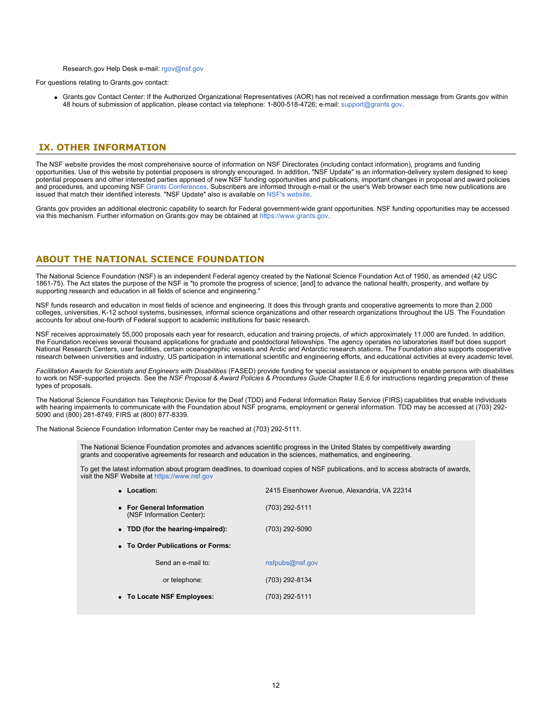### Research.gov Help Desk e-mail: [rgov@nsf.gov](mailto:rgov@nsf.gov)

For questions relating to Grants.gov contact:

Grants.gov Contact Center: If the Authorized Organizational Representatives (AOR) has not received a confirmation message from Grants.gov within 48 hours of submission of application, please contact via telephone: 1-800-518-4726; e-mail: [support@grants.gov](mailto:support@grants.gov).

### <span id="page-11-0"></span>**IX. OTHER INFORMATION**

The NSF website provides the most comprehensive source of information on NSF Directorates (including contact information), programs and funding opportunities. Use of this website by potential proposers is strongly encouraged. In addition, "NSF Update" is an information-delivery system designed to keep potential proposers and other interested parties apprised of new NSF funding opportunities and publications, important changes in proposal and award policies and procedures, and upcoming NSF [Grants Conferences](https://www.nsf.gov/bfa/dias/policy/outreach.jsp). Subscribers are informed through e-mail or the user's Web browser each time new publications are issued that match their identified interests. "NSF Update" also is available on [NSF's website](https://www.nsf.gov/cgi-bin/goodbye?https://public.govdelivery.com/accounts/USNSF/subscriber/new?topic_id=USNSF_179).

Grants.gov provides an additional electronic capability to search for Federal government-wide grant opportunities. NSF funding opportunities may be accessed via this mechanism. Further information on Grants.gov may be obtained at [https://www.grants.gov](https://www.grants.gov/).

### **ABOUT THE NATIONAL SCIENCE FOUNDATION**

The National Science Foundation (NSF) is an independent Federal agency created by the National Science Foundation Act of 1950, as amended (42 USC 1861-75). The Act states the purpose of the NSF is "to promote the progress of science; [and] to advance the national health, prosperity, and welfare by supporting research and education in all fields of science and engineering."

NSF funds research and education in most fields of science and engineering. It does this through grants and cooperative agreements to more than 2,000 colleges, universities, K-12 school systems, businesses, informal science organizations and other research organizations throughout the US. The Foundation accounts for about one-fourth of Federal support to academic institutions for basic research.

NSF receives approximately 55,000 proposals each year for research, education and training projects, of which approximately 11,000 are funded. In addition, the Foundation receives several thousand applications for graduate and postdoctoral fellowships. The agency operates no laboratories itself but does support National Research Centers, user facilities, certain oceanographic vessels and Arctic and Antarctic research stations. The Foundation also supports cooperative research between universities and industry, US participation in international scientific and engineering efforts, and educational activities at every academic level.

*Facilitation Awards for Scientists and Engineers with Disabilities* (FASED) provide funding for special assistance or equipment to enable persons with disabilities to work on NSF-supported projects. See the *NSF Proposal & Award Policies & Procedures Guide* Chapter II.E.6 for instructions regarding preparation of these types of proposals.

The National Science Foundation has Telephonic Device for the Deaf (TDD) and Federal Information Relay Service (FIRS) capabilities that enable individuals with hearing impairments to communicate with the Foundation about NSF programs, employment or general information. TDD may be accessed at (703) 292- 5090 and (800) 281-8749, FIRS at (800) 877-8339.

The National Science Foundation Information Center may be reached at (703) 292-5111.

The National Science Foundation promotes and advances scientific progress in the United States by competitively awarding grants and cooperative agreements for research and education in the sciences, mathematics, and engineering.

To get the latest information about program deadlines, to download copies of NSF publications, and to access abstracts of awards, visit the NSF Website at [https://www.nsf.gov](https://www.nsf.gov/)

| 2415 Eisenhower Avenue, Alexandria, VA 22314 |
|----------------------------------------------|
| (703) 292-5111                               |
| (703) 292-5090                               |
|                                              |
| nsfpubs@nsf.gov                              |
| (703) 292-8134                               |
| (703) 292-5111                               |
|                                              |